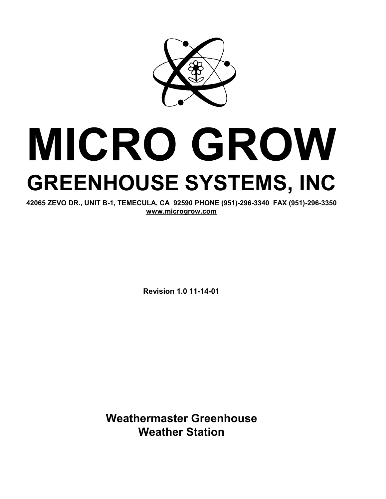

# **MICRO GROW GREENHOUSE SYSTEMS, INC**

**42065 ZEVO DR., UNIT B-1, TEMECULA, CA 92590 PHONE (951)-296-3340 FAX (951)-296-3350 [www.microgrow.com](http://www.microgrow.com)**

**Revision 1.0 11-14-01** 

**Weathermaster Greenhouse Weather Station**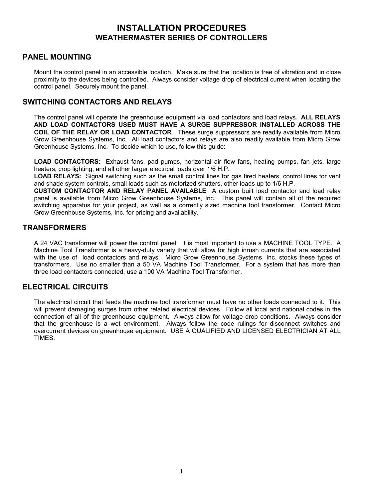# **INSTALLATION PROCEDURES WEATHERMASTER SERIES OF CONTROLLERS**

#### **PANEL MOUNTING**

Mount the control panel in an accessible location. Make sure that the location is free of vibration and in close proximity to the devices being controlled. Always consider voltage drop of electrical current when locating the control panel. Securely mount the panel.

#### **SWITCHING CONTACTORS AND RELAYS**

The control panel will operate the greenhouse equipment via load contactors and load relays**. ALL RELAYS AND LOAD CONTACTORS USED MUST HAVE A SURGE SUPPRESSOR INSTALLED ACROSS THE COIL OF THE RELAY OR LOAD CONTACTOR**. These surge suppressors are readily available from Micro Grow Greenhouse Systems, Inc. All load contactors and relays are also readily available from Micro Grow Greenhouse Systems, Inc. To decide which to use, follow this guide:

**LOAD CONTACTORS**: Exhaust fans, pad pumps, horizontal air flow fans, heating pumps, fan jets, large heaters, crop lighting, and all other larger electrical loads over 1/6 H.P.

**LOAD RELAYS:** Signal switching such as the small control lines for gas fired heaters, control lines for vent and shade system controls, small loads such as motorized shutters, other loads up to 1/6 H.P.

**CUSTOM CONTACTOR AND RELAY PANEL AVAILABLE** A custom built load contactor and load relay panel is available from Micro Grow Greenhouse Systems, Inc. This panel will contain all of the required switching apparatus for your project, as well as a correctly sized machine tool transformer. Contact Micro Grow Greenhouse Systems, Inc. for pricing and availability.

#### **TRANSFORMERS**

A 24 VAC transformer will power the control panel. It is most important to use a MACHINE TOOL TYPE. A Machine Tool Transformer is a heavy-duty variety that will allow for high inrush currents that are associated with the use of load contactors and relays. Micro Grow Greenhouse Systems, Inc. stocks these types of transformers. Use no smaller than a 50 VA Machine Tool Transformer. For a system that has more than three load contactors connected, use a 100 VA Machine Tool Transformer.

# **ELECTRICAL CIRCUITS**

The electrical circuit that feeds the machine tool transformer must have no other loads connected to it. This will prevent damaging surges from other related electrical devices. Follow all local and national codes in the connection of all of the greenhouse equipment. Always allow for voltage drop conditions. Always consider that the greenhouse is a wet environment. Always follow the code rulings for disconnect switches and overcurrent devices on greenhouse equipment. USE A QUALIFIED AND LICENSED ELECTRICIAN AT ALL TIMES.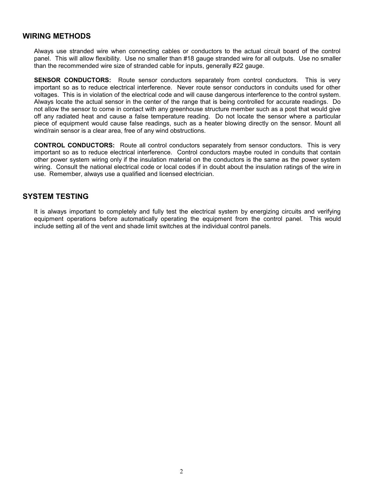#### **WIRING METHODS**

Always use stranded wire when connecting cables or conductors to the actual circuit board of the control panel. This will allow flexibility. Use no smaller than #18 gauge stranded wire for all outputs. Use no smaller than the recommended wire size of stranded cable for inputs, generally #22 gauge.

**SENSOR CONDUCTORS:** Route sensor conductors separately from control conductors. This is very important so as to reduce electrical interference. Never route sensor conductors in conduits used for other voltages. This is in violation of the electrical code and will cause dangerous interference to the control system. Always locate the actual sensor in the center of the range that is being controlled for accurate readings. Do not allow the sensor to come in contact with any greenhouse structure member such as a post that would give off any radiated heat and cause a false temperature reading. Do not locate the sensor where a particular piece of equipment would cause false readings, such as a heater blowing directly on the sensor. Mount all wind/rain sensor is a clear area, free of any wind obstructions.

**CONTROL CONDUCTORS:** Route all control conductors separately from sensor conductors. This is very important so as to reduce electrical interference. Control conductors maybe routed in conduits that contain other power system wiring only if the insulation material on the conductors is the same as the power system wiring. Consult the national electrical code or local codes if in doubt about the insulation ratings of the wire in use. Remember, always use a qualified and licensed electrician.

#### **SYSTEM TESTING**

It is always important to completely and fully test the electrical system by energizing circuits and verifying equipment operations before automatically operating the equipment from the control panel. This would include setting all of the vent and shade limit switches at the individual control panels.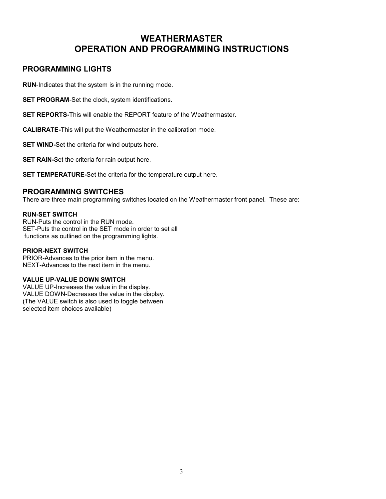# **WEATHERMASTER OPERATION AND PROGRAMMING INSTRUCTIONS**

## **PROGRAMMING LIGHTS**

**RUN**-Indicates that the system is in the running mode.

**SET PROGRAM-Set the clock, system identifications.** 

**SET REPORTS-**This will enable the REPORT feature of the Weathermaster.

**CALIBRATE-**This will put the Weathermaster in the calibration mode.

**SET WIND-**Set the criteria for wind outputs here.

**SET RAIN-Set the criteria for rain output here.** 

**SET TEMPERATURE-**Set the criteria for the temperature output here.

#### **PROGRAMMING SWITCHES**

There are three main programming switches located on the Weathermaster front panel. These are:

#### **RUN-SET SWITCH**

RUN-Puts the control in the RUN mode. SET-Puts the control in the SET mode in order to set all functions as outlined on the programming lights.

#### **PRIOR-NEXT SWITCH**

PRIOR-Advances to the prior item in the menu. NEXT-Advances to the next item in the menu.

#### **VALUE UP-VALUE DOWN SWITCH**

VALUE UP-Increases the value in the display. VALUE DOWN-Decreases the value in the display. (The VALUE switch is also used to toggle between selected item choices available)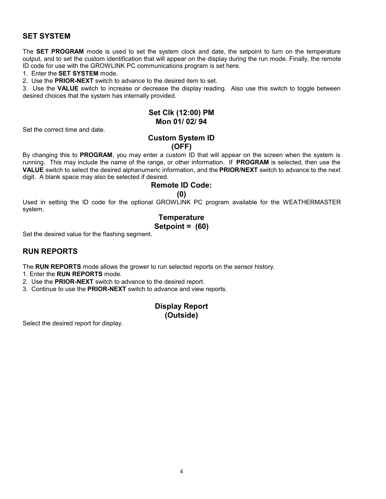# **SET SYSTEM**

The **SET PROGRAM** mode is used to set the system clock and date, the setpoint to turn on the temperature output, and to set the custom identification that will appear on the display during the run mode. Finally, the remote ID code for use with the GROWLINK PC communications program is set here.

1. Enter the **SET SYSTEM** mode.

2. Use the **PRIOR-NEXT** switch to advance to the desired item to set.

3. Use the **VALUE** switch to increase or decrease the display reading. Also use this switch to toggle between desired choices that the system has internally provided.

#### **Set Clk (12:00) PM Mon 01/ 02/ 94**

Set the correct time and date.

#### **Custom System ID (OFF)**

By changing this to **PROGRAM**, you may enter a custom ID that will appear on the screen when the system is running. This may include the name of the range, or other information. If **PROGRAM** is selected, then use the **VALUE** switch to select the desired alphanumeric information, and the **PRIOR/NEXT** switch to advance to the next digit. A blank space may also be selected if desired.

# **Remote ID Code:**

**(0)** 

Used in setting the ID code for the optional GROWLINK PC program available for the WEATHERMASTER system.

# **Temperature**

# **Setpoint = (60)**

Set the desired value for the flashing segment.

## **RUN REPORTS**

The **RUN REPORTS** mode allows the grower to run selected reports on the sensor history.

1. Enter the **RUN REPORTS** mode.

2. Use the **PRIOR-NEXT** switch to advance to the desired report.

3. Continue to use the **PRIOR-NEXT** switch to advance and view reports.

# **Display Report (Outside)**

Select the desired report for display.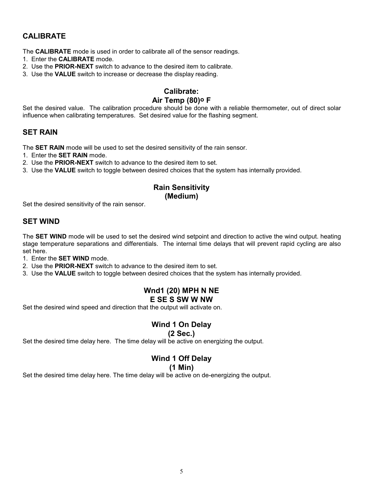# **CALIBRATE**

The **CALIBRATE** mode is used in order to calibrate all of the sensor readings.

- 1. Enter the **CALIBRATE** mode.
- 2. Use the **PRIOR-NEXT** switch to advance to the desired item to calibrate.
- 3. Use the **VALUE** switch to increase or decrease the display reading.

## **Calibrate: Air Temp (80)o F**

Set the desired value. The calibration procedure should be done with a reliable thermometer, out of direct solar influence when calibrating temperatures. Set desired value for the flashing segment.

#### **SET RAIN**

The **SET RAIN** mode will be used to set the desired sensitivity of the rain sensor.

- 1. Enter the **SET RAIN** mode.
- 2. Use the **PRIOR-NEXT** switch to advance to the desired item to set.
- 3. Use the **VALUE** switch to toggle between desired choices that the system has internally provided.

# **Rain Sensitivity**

**(Medium)** 

Set the desired sensitivity of the rain sensor.

#### **SET WIND**

The **SET WIND** mode will be used to set the desired wind setpoint and direction to active the wind output. heating stage temperature separations and differentials. The internal time delays that will prevent rapid cycling are also set here.

1. Enter the **SET WIND** mode.

2. Use the **PRIOR-NEXT** switch to advance to the desired item to set.

3. Use the **VALUE** switch to toggle between desired choices that the system has internally provided.

# **Wnd1 (20) MPH N NE**

#### **E SE S SW W NW**

Set the desired wind speed and direction that the output will activate on.

# **Wind 1 On Delay**

#### **(2 Sec.)**

Set the desired time delay here. The time delay will be active on energizing the output.

# **Wind 1 Off Delay**

**(1 Min)** 

Set the desired time delay here. The time delay will be active on de-energizing the output.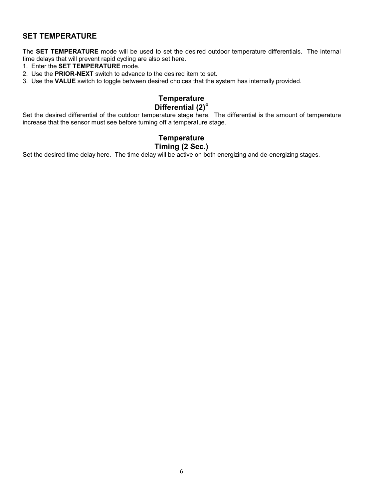# **SET TEMPERATURE**

The **SET TEMPERATURE** mode will be used to set the desired outdoor temperature differentials. The internal time delays that will prevent rapid cycling are also set here.

- 1. Enter the **SET TEMPERATURE** mode.
- 2. Use the **PRIOR-NEXT** switch to advance to the desired item to set.
- 3. Use the **VALUE** switch to toggle between desired choices that the system has internally provided.

# **Temperature Differential (2)<sup>o</sup>**

Set the desired differential of the outdoor temperature stage here. The differential is the amount of temperature increase that the sensor must see before turning off a temperature stage.

# **Temperature Timing (2 Sec.)**

Set the desired time delay here. The time delay will be active on both energizing and de-energizing stages.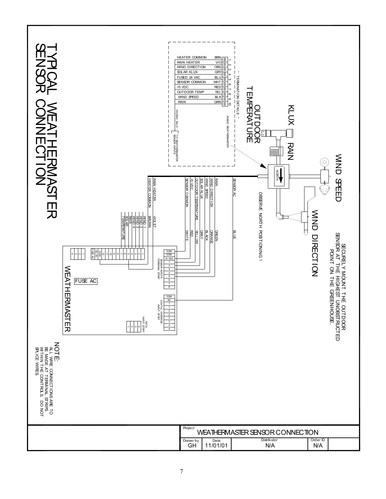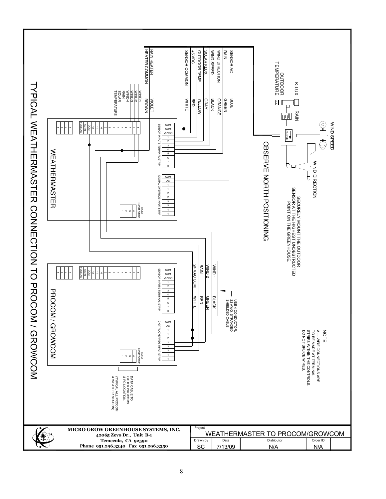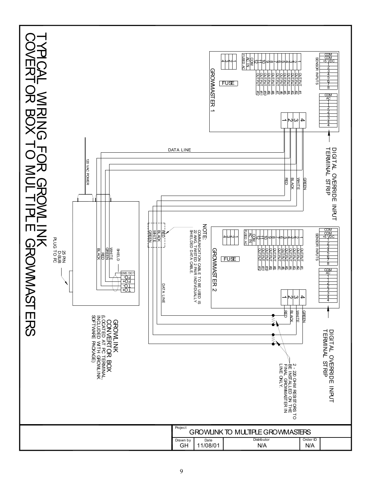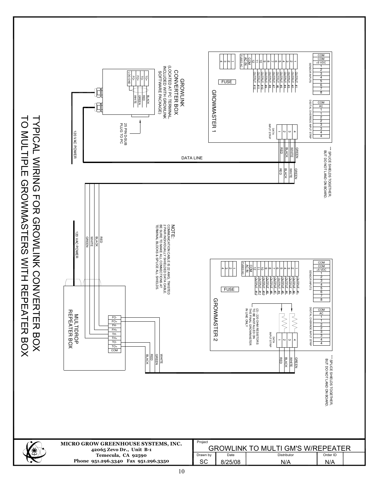|                                               | Γ                                                                                         |
|-----------------------------------------------|-------------------------------------------------------------------------------------------|
| <b>C</b> is identified<br>- 11)<br>- 1<br>- 1 |                                                                                           |
| <b>PLE GRO</b>                                |                                                                                           |
|                                               |                                                                                           |
|                                               |                                                                                           |
|                                               | $\overline{\mathbf{C}}$                                                                   |
|                                               | )<br>-                                                                                    |
|                                               |                                                                                           |
|                                               |                                                                                           |
|                                               |                                                                                           |
|                                               | コンコンコ                                                                                     |
|                                               |                                                                                           |
|                                               |                                                                                           |
|                                               |                                                                                           |
|                                               | CINCING SEIN                                                                              |
|                                               |                                                                                           |
|                                               | こくくくこ                                                                                     |
|                                               |                                                                                           |
|                                               |                                                                                           |
|                                               |                                                                                           |
| <b>+ 꼬ロロハ</b><br>ĺ                            |                                                                                           |
|                                               | ļ                                                                                         |
|                                               |                                                                                           |
| $\mathsf{L}$                                  | $\frac{1}{2}$                                                                             |
|                                               | ֺׅ֦֦֦֦֧֦ׅ֦֧֦֧֦֦֦֦֦ׅ֦֧֦֧֦֧֦֧֦֧֦֧֦֧֦֧֧֦֧֧֧֧֦֧֧֧֧֧֩֩֕֓֕֘֩֓֓֡֘֩֓֓֡֘֘֘֘֝֓֡֓֡֘֘֘֝֓֡֝֓֓֡֬<br>֧֪֝ |
|                                               |                                                                                           |
|                                               | こくく                                                                                       |
| ・ロこ                                           |                                                                                           |
|                                               |                                                                                           |

 $\times$